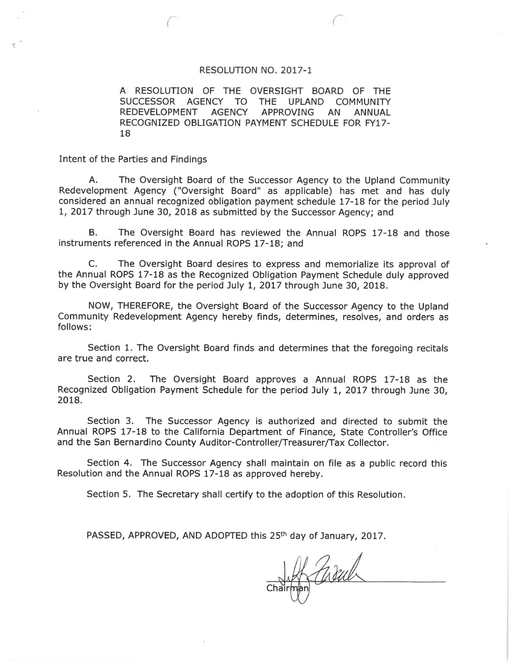## RESOLUTION NO. 2017-1

A RESOLUTION OF THE OVERSIGHT BOARD OF THE SUCCESSOR AGENCY TO THE UPLAND COMMUNITY REDEVELOPMENT AGENCY APPROVING **ANNUAL** AN RECOGNIZED OBLIGATION PAYMENT SCHEDULE FOR FY17-18

Intent of the Parties and Findings

The Oversight Board of the Successor Agency to the Upland Community А. Redevelopment Agency ("Oversight Board" as applicable) has met and has duly considered an annual recognized obligation payment schedule 17-18 for the period July 1, 2017 through June 30, 2018 as submitted by the Successor Agency; and

The Oversight Board has reviewed the Annual ROPS 17-18 and those В. instruments referenced in the Annual ROPS 17-18; and

C. The Oversight Board desires to express and memorialize its approval of the Annual ROPS 17-18 as the Recognized Obligation Payment Schedule duly approved by the Oversight Board for the period July 1, 2017 through June 30, 2018.

NOW, THEREFORE, the Oversight Board of the Successor Agency to the Upland Community Redevelopment Agency hereby finds, determines, resolves, and orders as follows:

Section 1. The Oversight Board finds and determines that the foregoing recitals are true and correct.

Section 2. The Oversight Board approves a Annual ROPS 17-18 as the Recognized Obligation Payment Schedule for the period July 1, 2017 through June 30, 2018.

Section 3. The Successor Agency is authorized and directed to submit the Annual ROPS 17-18 to the California Department of Finance, State Controller's Office and the San Bernardino County Auditor-Controller/Treasurer/Tax Collector.

Section 4. The Successor Agency shall maintain on file as a public record this Resolution and the Annual ROPS 17-18 as approved hereby.

Section 5. The Secretary shall certify to the adoption of this Resolution.

PASSED, APPROVED, AND ADOPTED this 25<sup>th</sup> day of January, 2017.

H Child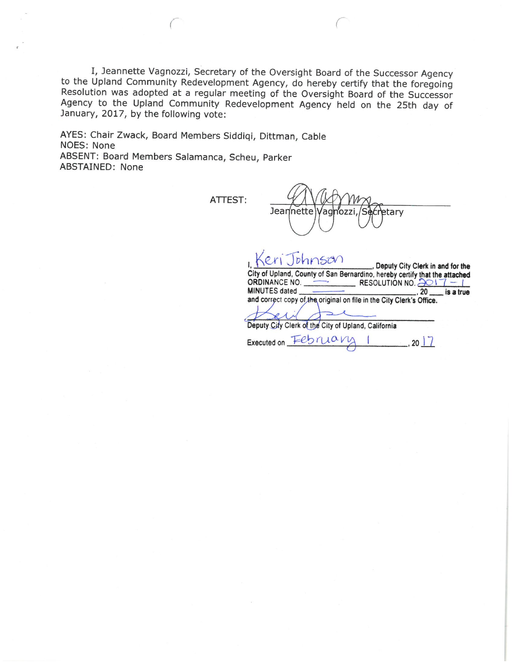I, Jeannette Vagnozzi, Secretary of the Oversight Board of the Successor Agency to the Upland Community Redevelopment Agency, do hereby certify that the foregoing Resolution was adopted at a regular meeting of the Oversight Board of the Successor Agency to the Upland Community Redevelopment Agency held on the 25th day of January, 2017, by the following vote:

AYES: Chair Zwack, Board Members Siddiqi, Dittman, Cable NOES: None ABSENT: Board Members Salamanca, Scheu, Parker **ABSTAINED: None** 

ATTEST:

Jeannette Vaghozzi etary

 $bhnsen$  $\overline{\varrho}$ ., Deputy City Clerk in and for the City of Upland, County of San Bernardino, hereby certify that the attached ORDINANCE NO. RESOLUTION NO.  $3017 - 1$ MINUTES dated 20 is a true and correct copy of the original on file in the City Clerk's Office. Deputy City Clerk of the City of Upland, California Executed on February  $-$ , 20 | 7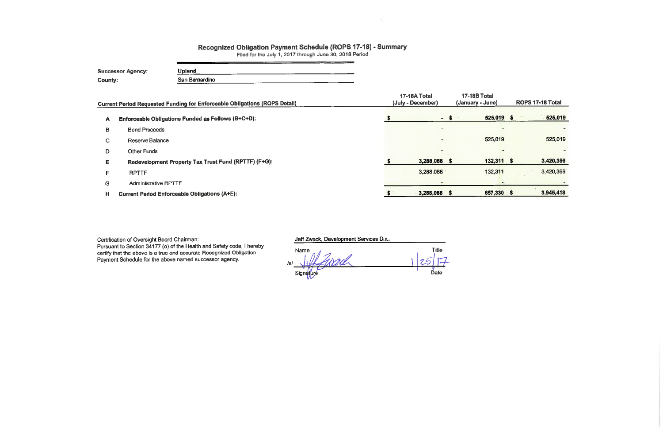## Recognized Obligation Payment Schedule (ROPS 17-18) - Summary<br>Filed for the July 1, 2017 through June 30, 2018 Period

| <b>Successor Agency:</b> | Upland         |  |
|--------------------------|----------------|--|
| <b>County:</b>           | San Bernardino |  |

|    | <b>Current Period Requested Funding for Enforceable Obligations (ROPS Detail)</b> | 17-18A Total<br>(July - December) | 17-18B Total<br>(January - June) | ROPS 17-18 Total |  |
|----|-----------------------------------------------------------------------------------|-----------------------------------|----------------------------------|------------------|--|
| A  | Enforceable Obligations Funded as Follows (B+C+D):                                |                                   | 525,019 \$<br>$-$ \$             | 525,019<br>学校会   |  |
| в  | <b>Bond Proceeds</b>                                                              | $\sim$                            |                                  |                  |  |
| C. | Reserve Balance                                                                   | $\overline{ }$                    | 525,019                          | 525,019          |  |
| D  | <b>Other Funds</b>                                                                | $\overline{\phantom{a}}$          |                                  |                  |  |
| Е  | Redevelopment Property Tax Trust Fund (RPTTF) (F+G):                              | 3,288,088 \$                      | $132,311$ \$                     | 3,420,399        |  |
| F. | <b>RPTTF</b>                                                                      | 3,288,088                         | 132,311                          | 3,420,399        |  |
| G. | <b>Administrative RPTTF</b>                                                       |                                   |                                  |                  |  |
| H. | <b>Current Period Enforceable Obligations (A+E):</b>                              | $3,288,088$ \$                    | 657,330 \$                       | 3,945,418        |  |

Certification of Oversight Board Chairman:<br>Pursuant to Section 34177 (o) of the Health and Safety code, I hereby<br>certify that the above is a true and accurate Recognized Obligation Payment Schedule for the above named successor agency.

Jeff Zwack, Development Services Dir.

Title Name Signature Date

 $\mathcal{P}_{\mathcal{A}}$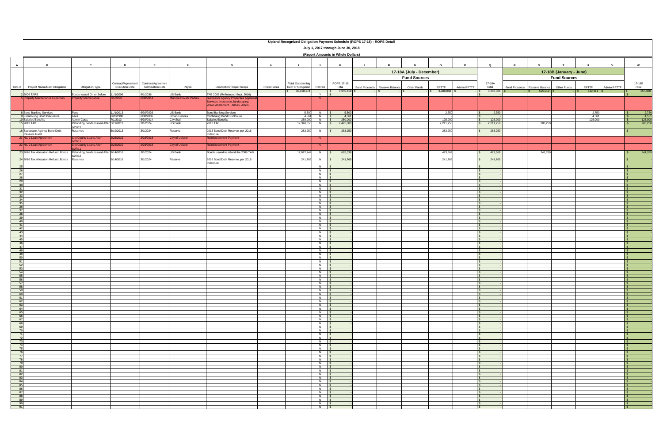|                                                                                              |                                                                                 |                                                              |                        |                                       |                                                   |                                                                                                                                                     | Upland Recognized Obligation Payment Schedule (ROPS 17-18) - ROPS Detail |                                  |                                  |                                                 |             |                                  |             |                      |                                                |                                                |       |                        |                                                |
|----------------------------------------------------------------------------------------------|---------------------------------------------------------------------------------|--------------------------------------------------------------|------------------------|---------------------------------------|---------------------------------------------------|-----------------------------------------------------------------------------------------------------------------------------------------------------|--------------------------------------------------------------------------|----------------------------------|----------------------------------|-------------------------------------------------|-------------|----------------------------------|-------------|----------------------|------------------------------------------------|------------------------------------------------|-------|------------------------|------------------------------------------------|
|                                                                                              | July 1, 2017 through June 30, 2018<br>(Report Amounts in Whole Dollars)         |                                                              |                        |                                       |                                                   |                                                                                                                                                     |                                                                          |                                  |                                  |                                                 |             |                                  |             |                      |                                                |                                                |       |                        |                                                |
| $\overline{A}$                                                                               | B                                                                               | $\mathbf{C}$                                                 | D                      | E.                                    | - F                                               | G                                                                                                                                                   | H<br>$\blacksquare$                                                      | J                                | K                                | M<br>$\mathbf{L}$                               | N           | $\circ$                          | <b>P</b>    | $\mathbf Q$          | $\mathbf R$                                    |                                                | U     | $\mathbf{v}$           | W                                              |
|                                                                                              |                                                                                 |                                                              |                        | Contract/Agreement Contract/Agreement |                                                   |                                                                                                                                                     | <b>Total Outstanding</b>                                                 |                                  | ROPS 17-18                       | 17-18A (July - December)<br><b>Fund Sources</b> |             |                                  | 17-18A      |                      | 17-18B (January - June)<br><b>Fund Sources</b> |                                                |       | 17-18B                 |                                                |
| Item #                                                                                       | Project Name/Debt Obligation                                                    | Obligation Type                                              | <b>Execution Date</b>  | <b>Termination Date</b>               | Payee                                             | <b>Description/Project Scope</b>                                                                                                                    | Debt or Obligation<br>Project Area<br>35,198,174                         | Retired                          | Total<br>$\frac{1}{5}$ 3,945,418 | Bond Proceeds Reserve Balance<br>$\cdot$ IS.    | Other Funds | RPTTF<br>$\frac{1}{5}$ 3,288,088 | Admin RPTTF | Total<br>3,288,088   | <b>Bond Proceeds</b>                           | Reserve Balance<br>Other Funds<br>$525,019$ \$ | RPTTF | Admin RPTTF<br>132,311 | Total<br>657,330                               |
|                                                                                              | 2 2006 TARB<br><b>Property Maintenance Expenses</b>                             | Bonds Issued On or Before<br>roperty Maintenance             | 11/1/2006<br>7/1/2013  | 9/1/2036<br>6/30/2014                 | <b>US Bank</b><br><b>Multiple Private Parties</b> | TAB 2006 (Refinanced Sept. 2016)<br>Successor Agency Properties Appraisal<br>Services, Insurance, landscaping,<br>Weed Abatement, Utilities, Alarm. |                                                                          | Y S<br>N.                        |                                  |                                                 |             |                                  |             |                      |                                                |                                                |       |                        |                                                |
|                                                                                              | 8 Bond Banking Services<br>9 Continuing Bond Disclosure<br>10 Salaries/Benefits | Fees<br>Fees                                                 | 11/1/2013<br>6/20/1998 | 6/30/2036<br>6/30/2036                | US Bank<br>Urban Futures<br>City Staff            | <b>Bond Banking Services</b><br>Continuing Bond Disclosure                                                                                          | 5,500<br>4,561                                                           | $N$ $\sqrt{S}$<br>$N$ \$         | 5,500<br>4,561                   |                                                 |             | 2,750                            |             | 2,750                |                                                |                                                |       | 2,750<br>4,561         | 2,750<br>$\mathbb{R}$<br>4,561<br>$\mathbb{R}$ |
|                                                                                              | 15 2013 TAB                                                                     | <b>Admin Costs</b><br>Refunding Bonds Issued After 5/19/2013 | 7/1/2013               | 6/30/2014<br>3/1/2024                 | <b>US Bank</b>                                    | Salaries/Benefits<br>2013 TAB                                                                                                                       | 250,000<br>17,340,650                                                    | N \$<br>N                        | 250,000<br>2,495,000<br>S.       |                                                 |             | 125,000<br>2,211,750             |             | 125,000<br>2,211,750 |                                                | 283,250                                        |       | 125,000                | $\frac{125,000}{283,250}$                      |
|                                                                                              | 16 Successor Agency Bond Debt                                                   | 6/27/12<br>Reserves                                          | 5/19/2013              | 3/1/2024                              | Reserve                                           | 2013 Bond Debt Reserve, per 2016                                                                                                                    | 283,250                                                                  | N                                | 283,250                          |                                                 |             | 283,250                          |             | 283,250              |                                                |                                                |       |                        |                                                |
|                                                                                              | Reserve Fund<br>21 No. 1 Loan Agreement                                         | City/County Loans After                                      | 2/23/2015              | 2/23/2018                             | City of Upland                                    | Indenture<br><b>Reimbursement Payment</b>                                                                                                           |                                                                          | N                                |                                  |                                                 |             |                                  |             |                      |                                                |                                                |       |                        |                                                |
|                                                                                              | 22 No. 2 Loan Agreement                                                         | 27/11<br>City/County Loans After                             | 2/23/2015              | 2/23/2018                             | <b>City of Upland</b>                             | <b>Reimbursement Payment</b>                                                                                                                        |                                                                          | N                                |                                  |                                                 |             |                                  |             |                      |                                                |                                                |       |                        |                                                |
|                                                                                              | 23 2016 Tax Allocation Refund. Bonds Refunding Bonds Issued After 9/14/2016     | 27/11                                                        |                        | 3/1/2024                              | US Bank                                           | Bonds issued to refund the 2006 TAB                                                                                                                 | 17,072,444                                                               | N                                | 665,338<br>$\mathcal{S}$         |                                                 |             | 423,569                          |             | 423,569              |                                                | 241,769                                        |       |                        | 241,769                                        |
|                                                                                              | 24 2016 Tax Allocation Refund. Bonds                                            | /27/12<br>Reserves                                           | 9/14/2016              | 3/1/2024                              | Reserve                                           | 2016 Bond Debt Reserve, per 2016                                                                                                                    | 241,769                                                                  | N                                | 241,769                          |                                                 |             | 241,769                          |             | 241,769              |                                                |                                                |       |                        |                                                |
| 25                                                                                           |                                                                                 |                                                              |                        |                                       |                                                   | Indenture                                                                                                                                           |                                                                          | $N$ \$                           |                                  |                                                 |             |                                  |             |                      |                                                |                                                |       |                        |                                                |
| $\frac{26}{27}$                                                                              |                                                                                 |                                                              |                        |                                       |                                                   |                                                                                                                                                     |                                                                          | $N$ \$<br>$N$ $S$                |                                  |                                                 |             |                                  |             |                      |                                                |                                                |       |                        | IS.                                            |
| 28                                                                                           |                                                                                 |                                                              |                        |                                       |                                                   |                                                                                                                                                     |                                                                          | $N$ $S$                          |                                  |                                                 |             |                                  |             |                      |                                                |                                                |       |                        | IS.                                            |
| 29<br>30                                                                                     |                                                                                 |                                                              |                        |                                       |                                                   |                                                                                                                                                     |                                                                          | $N$ \$<br><b>N</b> \$            |                                  |                                                 |             |                                  |             |                      |                                                |                                                |       |                        | $\mathbb{R}$                                   |
| 31<br>32                                                                                     |                                                                                 |                                                              |                        |                                       |                                                   |                                                                                                                                                     |                                                                          | N \$<br>$N$ \$                   |                                  |                                                 |             |                                  |             |                      |                                                |                                                |       |                        | IS.<br>IS.                                     |
| 33                                                                                           |                                                                                 |                                                              |                        |                                       |                                                   |                                                                                                                                                     |                                                                          | $N$ \$                           |                                  |                                                 |             |                                  |             |                      |                                                |                                                |       |                        | $\mathsf{S}$                                   |
| 34<br>35                                                                                     |                                                                                 |                                                              |                        |                                       |                                                   |                                                                                                                                                     |                                                                          | $N$ \$<br>$N$ $S$                |                                  |                                                 |             |                                  |             |                      |                                                |                                                |       |                        | <b>S</b>                                       |
| 36<br>37                                                                                     |                                                                                 |                                                              |                        |                                       |                                                   |                                                                                                                                                     |                                                                          | $N$ $S$                          |                                  |                                                 |             |                                  |             |                      |                                                |                                                |       |                        | l St<br>$\mathbb{R}$                           |
| 38                                                                                           |                                                                                 |                                                              |                        |                                       |                                                   |                                                                                                                                                     |                                                                          | $N$ \$<br>$N$ $S$                |                                  |                                                 |             |                                  |             |                      |                                                |                                                |       |                        |                                                |
| 39<br>40                                                                                     |                                                                                 |                                                              |                        |                                       |                                                   |                                                                                                                                                     |                                                                          | N <sub>S</sub><br>$N$ $\sqrt{S}$ |                                  |                                                 |             |                                  |             |                      |                                                |                                                |       |                        | IS.<br><b>S</b>                                |
| 41                                                                                           |                                                                                 |                                                              |                        |                                       |                                                   |                                                                                                                                                     |                                                                          | $N$ $S$                          |                                  |                                                 |             |                                  |             |                      |                                                |                                                |       |                        | $\mathbb{R}$                                   |
| $-42$<br>43                                                                                  |                                                                                 |                                                              |                        |                                       |                                                   |                                                                                                                                                     |                                                                          | $N$ \$<br>$N$ \$                 |                                  |                                                 |             |                                  |             |                      |                                                |                                                |       |                        |                                                |
| 44<br>45                                                                                     |                                                                                 |                                                              |                        |                                       |                                                   |                                                                                                                                                     |                                                                          | $N$ $\sqrt{S}$<br>$N$ $S$        |                                  |                                                 |             |                                  |             |                      |                                                |                                                |       |                        | $\sqrt{S}$<br>$\mathbb{R}$                     |
| 46                                                                                           |                                                                                 |                                                              |                        |                                       |                                                   |                                                                                                                                                     |                                                                          | $N$ $S$                          |                                  |                                                 |             |                                  |             |                      |                                                |                                                |       |                        |                                                |
| 47                                                                                           |                                                                                 |                                                              |                        |                                       |                                                   |                                                                                                                                                     |                                                                          | $N$ \$<br>$N$ $S$                |                                  |                                                 |             |                                  |             |                      |                                                |                                                |       |                        |                                                |
| $\frac{48}{49}$<br>50                                                                        |                                                                                 |                                                              |                        |                                       |                                                   |                                                                                                                                                     |                                                                          | $N$ \$<br>$N$ \$                 |                                  |                                                 |             |                                  |             |                      |                                                |                                                |       |                        | $\mathbb{R}$<br>$\mathbb{R}$                   |
| 51                                                                                           |                                                                                 |                                                              |                        |                                       |                                                   |                                                                                                                                                     |                                                                          | $N$ \$                           |                                  |                                                 |             |                                  |             |                      |                                                |                                                |       |                        |                                                |
| 52                                                                                           |                                                                                 |                                                              |                        |                                       |                                                   |                                                                                                                                                     |                                                                          | $N$ $S$<br>$N$ $\sqrt{S}$        |                                  |                                                 |             |                                  |             |                      |                                                |                                                |       |                        | $\sqrt{S}$                                     |
| $\frac{53}{54}$                                                                              |                                                                                 |                                                              |                        |                                       |                                                   |                                                                                                                                                     |                                                                          | $N$ $S$                          |                                  |                                                 |             |                                  |             |                      |                                                |                                                |       |                        | I ¢                                            |
| 55<br>56                                                                                     |                                                                                 |                                                              |                        |                                       |                                                   |                                                                                                                                                     |                                                                          | <b>N</b> \$<br>$N$ \$            |                                  |                                                 |             |                                  |             |                      |                                                |                                                |       |                        | l Si                                           |
| $\overline{57}$                                                                              |                                                                                 |                                                              |                        |                                       |                                                   |                                                                                                                                                     |                                                                          | $N$ $S$<br>$N$ \$                |                                  |                                                 |             |                                  |             |                      |                                                |                                                |       |                        | $\sqrt{s}$<br>$\sqrt{s}$                       |
|                                                                                              |                                                                                 |                                                              |                        |                                       |                                                   |                                                                                                                                                     |                                                                          | N \$                             |                                  |                                                 |             |                                  |             |                      |                                                |                                                |       |                        | $\sqrt{S}$                                     |
|                                                                                              |                                                                                 |                                                              |                        |                                       |                                                   |                                                                                                                                                     |                                                                          | N \$<br>$N$ $\sqrt{S}$           |                                  |                                                 |             |                                  |             |                      |                                                |                                                |       |                        | <b>S</b><br>$\mathsf{S}$                       |
|                                                                                              |                                                                                 |                                                              |                        |                                       |                                                   |                                                                                                                                                     |                                                                          | $N$ \$                           |                                  |                                                 |             |                                  |             |                      |                                                |                                                |       |                        | $\sqrt{s}$                                     |
| $\begin{array}{r} 37 \\ 58 \\ 59 \\ 60 \\ 61 \\ \hline 62 \\ 63 \\ \hline 64 \\ \end{array}$ |                                                                                 |                                                              |                        |                                       |                                                   |                                                                                                                                                     |                                                                          | $N$ \$<br>$N$ \$                 |                                  |                                                 |             |                                  |             |                      |                                                |                                                |       |                        | $\sqrt{S}$<br>$\mathbb{R}$                     |
| $\frac{65}{66}$<br>$\frac{66}{67}$<br>$\frac{68}{69}$                                        |                                                                                 |                                                              |                        |                                       |                                                   |                                                                                                                                                     |                                                                          | $N$ $S$<br>$N$ \$                |                                  |                                                 |             |                                  |             |                      |                                                |                                                |       |                        | IS-<br>$\sqrt{S}$                              |
|                                                                                              |                                                                                 |                                                              |                        |                                       |                                                   |                                                                                                                                                     |                                                                          | $N$ \$<br>$N$ \$                 |                                  |                                                 |             |                                  |             |                      |                                                |                                                |       |                        | $\sqrt{S}$                                     |
|                                                                                              |                                                                                 |                                                              |                        |                                       |                                                   |                                                                                                                                                     |                                                                          | $N$ \$                           |                                  |                                                 |             |                                  |             |                      |                                                |                                                |       |                        | <b>S</b><br>$\sqrt{S}$                         |
| $rac{1}{70}$<br>71                                                                           |                                                                                 |                                                              |                        |                                       |                                                   |                                                                                                                                                     |                                                                          | $N$ \$<br><b>N</b> \$            |                                  |                                                 |             |                                  |             |                      |                                                |                                                |       |                        | $\sqrt{s}$<br>$\sqrt{S}$                       |
|                                                                                              |                                                                                 |                                                              |                        |                                       |                                                   |                                                                                                                                                     |                                                                          | <b>N</b> \$                      |                                  |                                                 |             |                                  |             |                      |                                                |                                                |       |                        | $\sqrt{S}$                                     |
| $\begin{array}{r} \n 72 \\ \hline\n 73 \\ \hline\n 74\n \end{array}$                         |                                                                                 |                                                              |                        |                                       |                                                   |                                                                                                                                                     |                                                                          | $N$ $\sqrt{S}$<br>$N$ \$         |                                  |                                                 |             |                                  |             |                      |                                                |                                                |       |                        | $\sqrt{S}$<br>$\sqrt{s}$                       |
| 14<br>75<br>76<br>77<br>78<br>79<br>80<br>81<br>82<br>83<br>83<br>83<br>83<br>83<br>1        |                                                                                 |                                                              |                        |                                       |                                                   |                                                                                                                                                     |                                                                          | $N$ $S$<br>$N$ \$                |                                  |                                                 |             |                                  |             |                      |                                                |                                                |       |                        | $\sqrt{S}$<br>$\sqrt{S}$                       |
|                                                                                              |                                                                                 |                                                              |                        |                                       |                                                   |                                                                                                                                                     |                                                                          | $N$ $\sqrt{S}$                   |                                  |                                                 |             |                                  |             |                      |                                                |                                                |       |                        | IS-                                            |
|                                                                                              |                                                                                 |                                                              |                        |                                       |                                                   |                                                                                                                                                     |                                                                          | $N$ $\vert S \vert$<br>$N$ $S$   |                                  |                                                 |             |                                  |             |                      |                                                |                                                |       |                        | $\mathsf{S}$<br>$\mathsf{S}$                   |
|                                                                                              |                                                                                 |                                                              |                        |                                       |                                                   |                                                                                                                                                     |                                                                          | N \$                             |                                  |                                                 |             |                                  |             |                      |                                                |                                                |       |                        | IS-                                            |
|                                                                                              |                                                                                 |                                                              |                        |                                       |                                                   |                                                                                                                                                     |                                                                          | N   \$<br>$N$ $S$                |                                  |                                                 |             |                                  |             |                      |                                                |                                                |       |                        | l Si<br>$\sqrt{s}$                             |
| 84                                                                                           |                                                                                 |                                                              |                        |                                       |                                                   |                                                                                                                                                     |                                                                          | $N$ $S$<br>$N$ \$                |                                  |                                                 |             |                                  |             |                      |                                                |                                                |       |                        | $\sqrt{s}$<br>$\sqrt{S}$                       |
|                                                                                              |                                                                                 |                                                              |                        |                                       |                                                   |                                                                                                                                                     |                                                                          | N \$                             |                                  |                                                 |             |                                  |             |                      |                                                |                                                |       |                        | <b>S</b>                                       |
| $\begin{array}{r} 85 \\ \hline 86 \\ \hline 87 \end{array}$                                  |                                                                                 |                                                              |                        |                                       |                                                   |                                                                                                                                                     |                                                                          | $N$ $S$<br>$N$ \$                |                                  |                                                 |             |                                  |             |                      |                                                |                                                |       |                        | $\mathbf{s}$<br>$\mathsf{s}$                   |
| 88                                                                                           |                                                                                 |                                                              |                        |                                       |                                                   |                                                                                                                                                     |                                                                          | $N$ $\sqrt{S}$                   |                                  |                                                 |             |                                  |             |                      |                                                |                                                |       |                        | $\mathsf{S}$                                   |
| $\begin{array}{r} 89 \\ \hline 90 \\ \hline 91 \end{array}$                                  |                                                                                 |                                                              |                        |                                       |                                                   |                                                                                                                                                     |                                                                          | N \$<br>$N$ $S$                  |                                  |                                                 |             |                                  |             |                      |                                                |                                                |       |                        | $\sqrt{S}$<br>$\mathsf{S}$                     |
|                                                                                              |                                                                                 |                                                              |                        |                                       |                                                   |                                                                                                                                                     |                                                                          | $N$ \$                           |                                  |                                                 |             |                                  |             |                      |                                                |                                                |       |                        | $\sqrt{S}$                                     |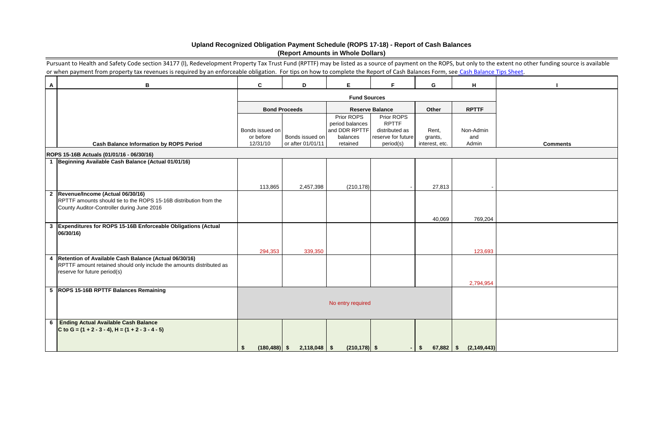|                | Pursuant to Health and Safety Code section 34177 (I), Redevelopment Property Tax Trust Fund (RPTTF) may be listed as a source of payment on the ROPS, but only to the extent no other funding source is available |                              |                              |                               |                                      |                           |                           |                 |  |
|----------------|-------------------------------------------------------------------------------------------------------------------------------------------------------------------------------------------------------------------|------------------------------|------------------------------|-------------------------------|--------------------------------------|---------------------------|---------------------------|-----------------|--|
|                | or when payment from property tax revenues is required by an enforceable obligation. For tips on how to complete the Report of Cash Balances Form, see Cash Balance Tips Sheet.                                   |                              |                              |                               |                                      |                           |                           |                 |  |
| $\mathsf{A}$   | $\, {\bf B}$                                                                                                                                                                                                      | C                            | D                            | Е                             | F.                                   | G                         | H                         |                 |  |
|                |                                                                                                                                                                                                                   |                              |                              | <b>Fund Sources</b>           |                                      |                           |                           |                 |  |
|                |                                                                                                                                                                                                                   |                              | <b>Bond Proceeds</b>         |                               | <b>Reserve Balance</b>               | Other                     | <b>RPTTF</b>              |                 |  |
|                |                                                                                                                                                                                                                   |                              |                              | Prior ROPS<br>period balances | Prior ROPS<br><b>RPTTF</b>           |                           |                           |                 |  |
|                |                                                                                                                                                                                                                   | Bonds issued on<br>or before | Bonds issued on              | and DDR RPTTF<br>balances     | distributed as<br>reserve for future | Rent,                     | Non-Admin                 |                 |  |
|                | <b>Cash Balance Information by ROPS Period</b>                                                                                                                                                                    | 12/31/10                     | or after 01/01/11            | retained                      | period(s)                            | grants,<br>interest, etc. | and<br>Admin              | <b>Comments</b> |  |
|                | ROPS 15-16B Actuals (01/01/16 - 06/30/16)                                                                                                                                                                         |                              |                              |                               |                                      |                           |                           |                 |  |
|                | Beginning Available Cash Balance (Actual 01/01/16)                                                                                                                                                                |                              |                              |                               |                                      |                           |                           |                 |  |
|                |                                                                                                                                                                                                                   |                              |                              |                               |                                      |                           |                           |                 |  |
|                |                                                                                                                                                                                                                   | 113,865                      | 2,457,398                    | (210, 178)                    |                                      | 27,813                    |                           |                 |  |
| $\overline{2}$ | Revenue/Income (Actual 06/30/16)                                                                                                                                                                                  |                              |                              |                               |                                      |                           |                           |                 |  |
|                | RPTTF amounts should tie to the ROPS 15-16B distribution from the<br>County Auditor-Controller during June 2016                                                                                                   |                              |                              |                               |                                      |                           |                           |                 |  |
|                |                                                                                                                                                                                                                   |                              |                              |                               |                                      |                           |                           |                 |  |
| $\mathbf{3}$   | Expenditures for ROPS 15-16B Enforceable Obligations (Actual                                                                                                                                                      |                              |                              |                               |                                      | 40,069                    | 769,204                   |                 |  |
|                | 06/30/16)                                                                                                                                                                                                         |                              |                              |                               |                                      |                           |                           |                 |  |
|                |                                                                                                                                                                                                                   |                              |                              |                               |                                      |                           |                           |                 |  |
|                |                                                                                                                                                                                                                   | 294,353                      | 339,350                      |                               |                                      |                           | 123,693                   |                 |  |
| $\overline{4}$ | Retention of Available Cash Balance (Actual 06/30/16)<br>RPTTF amount retained should only include the amounts distributed as                                                                                     |                              |                              |                               |                                      |                           |                           |                 |  |
|                | reserve for future period(s)                                                                                                                                                                                      |                              |                              |                               |                                      |                           |                           |                 |  |
|                |                                                                                                                                                                                                                   |                              |                              |                               |                                      |                           | 2,794,954                 |                 |  |
|                | 5  ROPS 15-16B RPTTF Balances Remaining                                                                                                                                                                           |                              |                              |                               |                                      |                           |                           |                 |  |
|                |                                                                                                                                                                                                                   | No entry required            |                              |                               |                                      |                           |                           |                 |  |
|                |                                                                                                                                                                                                                   |                              |                              |                               |                                      |                           |                           |                 |  |
|                | 6 Ending Actual Available Cash Balance                                                                                                                                                                            |                              |                              |                               |                                      |                           |                           |                 |  |
|                | C to G = $(1 + 2 - 3 - 4)$ , H = $(1 + 2 - 3 - 4 - 5)$                                                                                                                                                            |                              |                              |                               |                                      |                           |                           |                 |  |
|                |                                                                                                                                                                                                                   |                              |                              |                               |                                      |                           |                           |                 |  |
|                |                                                                                                                                                                                                                   | \$                           | $(180, 488)$ \$ 2,118,048 \$ | $(210, 178)$ \$               |                                      | I \$                      | $67,882$ \$ $(2,149,443)$ |                 |  |

## **Upland Recognized Obligation Payment Schedule (ROPS 17-18) - Report of Cash Balances (Report Amounts in Whole Dollars)**